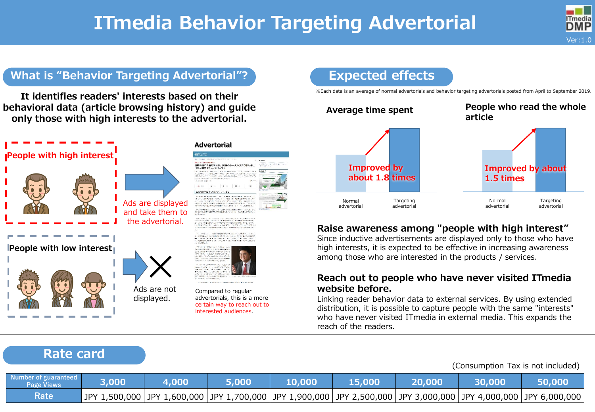# **ITmedia Behavior Targeting Advertorial**



# **What is "Behavior Targeting Advertorial"? Expected effects**

**It identifies readers' interests based on their behavioral data (article browsing history) and guide only those with high interests to the advertorial.**



#### **Advertorial**





Compared to regular advertorials, this is a more certain way to reach out to interested audiences.

※Each data is an average of normal advertorials and behavior targeting advertorials posted from April to September 2019.



## **Raise awareness among "people with high interest"**

Since inductive advertisements are displayed only to those who have high interests, it is expected to be effective in increasing awareness among those who are interested in the products / services.

### **Reach out to people who have never visited ITmedia website before.**

Linking reader behavior data to external services. By using extended distribution, it is possible to capture people with the same "interests" who have never visited ITmedia in external media. This expands the reach of the readers.

# **Rate card**

#### (Consumption Tax is not included)

| Number of guaranteed<br><b>Page Views</b> | 3,000                                                                                                                  | 4,000 | 5.000 | 10,000 | 15,000 | 20,000 | 30.000 |  |
|-------------------------------------------|------------------------------------------------------------------------------------------------------------------------|-------|-------|--------|--------|--------|--------|--|
| Rate                                      | JPY 1,500,000  JPY 1,600,000  JPY 1,700,000  JPY 1,900,000  JPY 2,500,000  JPY 3,000,000  JPY 4,000,000  JPY 6,000,000 |       |       |        |        |        |        |  |